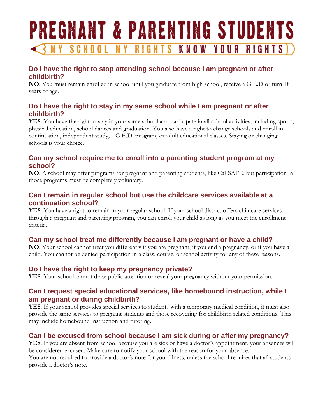# PREGNANT & PARENTING STUDENTS GHTS KNOW YOUR RIGHTS **MY SCH** RI

# **Do I have the right to stop attending school because I am pregnant or after childbirth?**

**NO**. You must remain enrolled in school until you graduate from high school, receive a G.E.D or turn 18 years of age.

#### **Do I have the right to stay in my same school while I am pregnant or after childbirth?**

**YES**. You have the right to stay in your same school and participate in all school activities, including sports, physical education, school dances and graduation. You also have a right to change schools and enroll in continuation, independent study, a G.E.D. program, or adult educational classes. Staying or changing schools is your choice.

#### **Can my school require me to enroll into a parenting student program at my school?**

**NO**. A school may offer programs for pregnant and parenting students, like Cal-SAFE, but participation in those programs must be completely voluntary.

#### **Can I remain in regular school but use the childcare services available at a continuation school?**

**YES**. You have a right to remain in your regular school. If your school district offers childcare services through a pregnant and parenting program, you can enroll your child as long as you meet the enrollment criteria.

# **Can my school treat me differently because I am pregnant or have a child?**

**NO**. Your school cannot treat you differently if you are pregnant, if you end a pregnancy, or if you have a child. You cannot be denied participation in a class, course, or school activity for any of these reasons.

# **Do I have the right to keep my pregnancy private?**

**YES**. Your school cannot draw public attention or reveal your pregnancy without your permission.

#### **Can I request special educational services, like homebound instruction, while I am pregnant or during childbirth?**

**YES**. If your school provides special services to students with a temporary medical condition, it must also provide the same services to pregnant students and those recovering for childbirth related conditions. This may include homebound instruction and tutoring.

# **Can I be excused from school because I am sick during or after my pregnancy?**

**YES**. If you are absent from school because you are sick or have a doctor's appointment, your absences will be considered excused. Make sure to notify your school with the reason for your absence.

You are not required to provide a doctor's note for your illness, unless the school requires that all students provide a doctor's note.